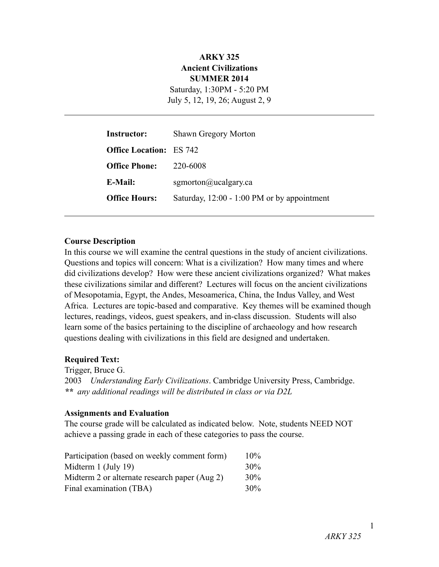### **ARKY 325 Ancient Civilizations SUMMER 2014** Saturday, 1:30PM - 5:20 PM

July 5, 12, 19, 26; August 2, 9

| <b>Instructor:</b>             | <b>Shawn Gregory Morton</b>                           |
|--------------------------------|-------------------------------------------------------|
| <b>Office Location:</b> ES 742 |                                                       |
| <b>Office Phone:</b>           | 220-6008                                              |
| E-Mail:                        | sgmorton@ucalgary.ca                                  |
| <b>Office Hours:</b>           | Saturday, $12:00 - 1:00 \text{ PM}$ or by appointment |

#### **Course Description**

In this course we will examine the central questions in the study of ancient civilizations. Questions and topics will concern: What is a civilization? How many times and where did civilizations develop? How were these ancient civilizations organized? What makes these civilizations similar and different? Lectures will focus on the ancient civilizations of Mesopotamia, Egypt, the Andes, Mesoamerica, China, the Indus Valley, and West Africa. Lectures are topic-based and comparative. Key themes will be examined though lectures, readings, videos, guest speakers, and in-class discussion. Students will also learn some of the basics pertaining to the discipline of archaeology and how research questions dealing with civilizations in this field are designed and undertaken.

#### **Required Text:**

Trigger, Bruce G. 2003 *Understanding Early Civilizations*. Cambridge University Press, Cambridge. *\*\* any additional readings will be distributed in class or via D2L* 

#### **Assignments and Evaluation**

The course grade will be calculated as indicated below. Note, students NEED NOT achieve a passing grade in each of these categories to pass the course.

| Participation (based on weekly comment form)  | $10\%$ |
|-----------------------------------------------|--------|
| Midterm $1$ (July 19)                         | $30\%$ |
| Midterm 2 or alternate research paper (Aug 2) | $30\%$ |
| Final examination (TBA)                       | $30\%$ |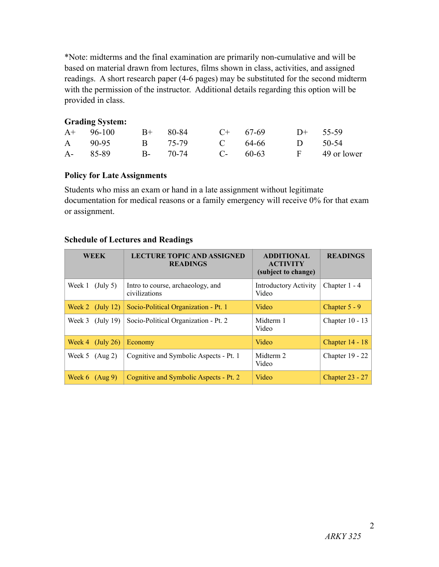\*Note: midterms and the final examination are primarily non-cumulative and will be based on material drawn from lectures, films shown in class, activities, and assigned readings. A short research paper (4-6 pages) may be substituted for the second midterm with the permission of the instructor. Additional details regarding this option will be provided in class.

### **Grading System:**

| $A+ 96-100$ | $B+$ 80-84 C+ 67-69 |                                 | $D+$ 55-59 |  |
|-------------|---------------------|---------------------------------|------------|--|
|             |                     | A 90-95 B 75-79 C 64-66 D 50-54 |            |  |
| A- 85-89    |                     | B- 70-74 C- 60-63 F 49 or lower |            |  |

# **Policy for Late Assignments**

Students who miss an exam or hand in a late assignment without legitimate documentation for medical reasons or a family emergency will receive 0% for that exam or assignment.

## **Schedule of Lectures and Readings**

| <b>WEEK</b>                     | <b>LECTURE TOPIC AND ASSIGNED</b><br><b>READINGS</b> | <b>ADDITIONAL</b><br><b>ACTIVITY</b><br>(subject to change) | <b>READINGS</b>   |
|---------------------------------|------------------------------------------------------|-------------------------------------------------------------|-------------------|
| Week 1<br>$(\text{July } 5)$    | Intro to course, archaeology, and<br>civilizations   | <b>Introductory Activity</b><br>Video                       | Chapter 1 - 4     |
| Week 2 $(July 12)$              | Socio-Political Organization - Pt. 1                 | Video                                                       | Chapter $5 - 9$   |
| Week 3<br>(July 19)             | Socio-Political Organization - Pt. 2                 | Midterm 1<br>Video                                          | Chapter $10 - 13$ |
| $(\mathrm{July}\ 26)$<br>Week 4 | Economy                                              | Video                                                       | Chapter 14 - 18   |
| (Aug 2)<br>Week 5               | Cognitive and Symbolic Aspects - Pt. 1               | Midterm 2<br>Video                                          | Chapter $19 - 22$ |
| Week $6$ (Aug 9)                | Cognitive and Symbolic Aspects - Pt. 2               | Video                                                       | Chapter $23 - 27$ |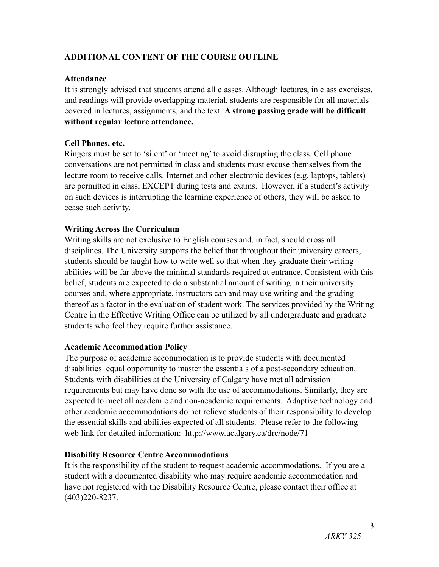# **ADDITIONAL CONTENT OF THE COURSE OUTLINE**

### **Attendance**

It is strongly advised that students attend all classes. Although lectures, in class exercises, and readings will provide overlapping material, students are responsible for all materials covered in lectures, assignments, and the text. **A strong passing grade will be difficult without regular lecture attendance.**

## **Cell Phones, etc.**

Ringers must be set to 'silent' or 'meeting' to avoid disrupting the class. Cell phone conversations are not permitted in class and students must excuse themselves from the lecture room to receive calls. Internet and other electronic devices (e.g. laptops, tablets) are permitted in class, EXCEPT during tests and exams. However, if a student's activity on such devices is interrupting the learning experience of others, they will be asked to cease such activity.

## **Writing Across the Curriculum**

Writing skills are not exclusive to English courses and, in fact, should cross all disciplines. The University supports the belief that throughout their university careers, students should be taught how to write well so that when they graduate their writing abilities will be far above the minimal standards required at entrance. Consistent with this belief, students are expected to do a substantial amount of writing in their university courses and, where appropriate, instructors can and may use writing and the grading thereof as a factor in the evaluation of student work. The services provided by the Writing Centre in the Effective Writing Office can be utilized by all undergraduate and graduate students who feel they require further assistance.

### **Academic Accommodation Policy**

The purpose of academic accommodation is to provide students with documented disabilities equal opportunity to master the essentials of a post-secondary education. Students with disabilities at the University of Calgary have met all admission requirements but may have done so with the use of accommodations. Similarly, they are expected to meet all academic and non-academic requirements. Adaptive technology and other academic accommodations do not relieve students of their responsibility to develop the essential skills and abilities expected of all students. Please refer to the following web link for detailed information: http://www.ucalgary.ca/drc/node/71

# **Disability Resource Centre Accommodations**

It is the responsibility of the student to request academic accommodations. If you are a student with a documented disability who may require academic accommodation and have not registered with the Disability Resource Centre, please contact their office at (403)220-8237.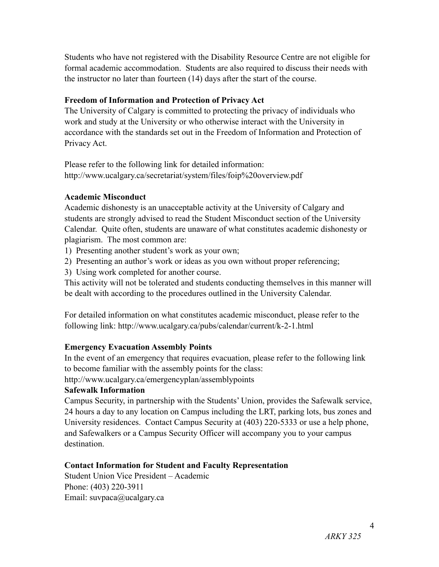Students who have not registered with the Disability Resource Centre are not eligible for formal academic accommodation. Students are also required to discuss their needs with the instructor no later than fourteen (14) days after the start of the course.

## **Freedom of Information and Protection of Privacy Act**

The University of Calgary is committed to protecting the privacy of individuals who work and study at the University or who otherwise interact with the University in accordance with the standards set out in the Freedom of Information and Protection of Privacy Act.

Please refer to the following link for detailed information: http://www.ucalgary.ca/secretariat/system/files/foip%20overview.pdf

## **Academic Misconduct**

Academic dishonesty is an unacceptable activity at the University of Calgary and students are strongly advised to read the Student Misconduct section of the University Calendar. Quite often, students are unaware of what constitutes academic dishonesty or plagiarism. The most common are:

1) Presenting another student's work as your own;

2) Presenting an author's work or ideas as you own without proper referencing;

3) Using work completed for another course.

This activity will not be tolerated and students conducting themselves in this manner will be dealt with according to the procedures outlined in the University Calendar.

For detailed information on what constitutes academic misconduct, please refer to the following link: http://www.ucalgary.ca/pubs/calendar/current/k-2-1.html

# **Emergency Evacuation Assembly Points**

In the event of an emergency that requires evacuation, please refer to the following link to become familiar with the assembly points for the class:

http://www.ucalgary.ca/emergencyplan/assemblypoints

# **Safewalk Information**

Campus Security, in partnership with the Students' Union, provides the Safewalk service, 24 hours a day to any location on Campus including the LRT, parking lots, bus zones and University residences. Contact Campus Security at (403) 220-5333 or use a help phone, and Safewalkers or a Campus Security Officer will accompany you to your campus destination.

# **Contact Information for Student and Faculty Representation**

Student Union Vice President – Academic Phone: (403) 220-3911 Email: suvpaca@ucalgary.ca